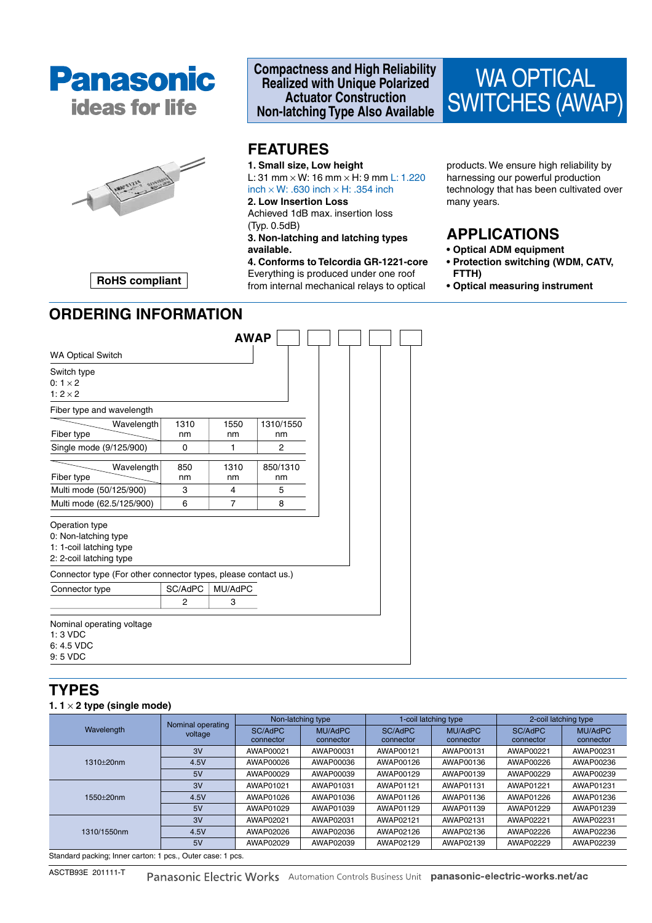



### **Compactness and High Reliability Realized with Unique Polarized Actuator Construction Non-latching Type Also Available**



## **FEATURES**

**1. Small size, Low height** L: 31 mm  $\times$  W: 16 mm  $\times$  H: 9 mm L: 1.220  $inch \times W$ : .630 inch  $\times H$ : .354 inch

### **2. Low Insertion Loss**

Achieved 1dB max. insertion loss (Typ. 0.5dB)

**3. Non-latching and latching types available.**

**4. Conforms to Telcordia GR-1221-core** Everything is produced under one roof from internal mechanical relays to optical

products. We ensure high reliability by harnessing our powerful production technology that has been cultivated over many years.

## **APPLICATIONS**

- **Optical ADM equipment**
- **Protection switching (WDM, CATV, FTTH)**
- **Optical measuring instrument**

**RoHS compliant**

|                                                                                              |                | <b>AWAP</b> |                 |
|----------------------------------------------------------------------------------------------|----------------|-------------|-----------------|
| <b>WA Optical Switch</b>                                                                     |                |             |                 |
| Switch type<br>$0:1\times 2$<br>1: $2 \times 2$                                              |                |             |                 |
| Fiber type and wavelength                                                                    |                |             |                 |
| Wavelength<br>Fiber type                                                                     | 1310<br>nm     | 1550<br>nm  | 1310/1550<br>nm |
| Single mode (9/125/900)                                                                      | $\Omega$       | 1           | 2               |
| Wavelength                                                                                   | 850            | 1310        | 850/1310        |
| Fiber type<br>Multi mode (50/125/900)                                                        | nm<br>3        | nm<br>4     | nm<br>5         |
| Multi mode (62.5/125/900)                                                                    | 6              | 7           | 8               |
| Operation type<br>0: Non-latching type<br>1: 1-coil latching type<br>2: 2-coil latching type |                |             |                 |
| Connector type (For other connector types, please contact us.)                               |                |             |                 |
| Connector type                                                                               | SC/AdPC        | MU/AdPC     |                 |
|                                                                                              | $\overline{2}$ | 3           |                 |
| Nominal operating voltage<br>$1:3$ VDC<br>6: 4.5 VDC<br>9:5 VDC                              |                |             |                 |

## **TYPES**

#### **1. 1** × **2 type (single mode)**

|                                                                                   | Nominal operating | Non-latching type |           | 1-coil latching type |           | 2-coil latching type |                |
|-----------------------------------------------------------------------------------|-------------------|-------------------|-----------|----------------------|-----------|----------------------|----------------|
| Wavelength                                                                        | voltage           | SC/AdPC           | MU/AdPC   | SC/AdPC              | MU/AdPC   | SC/AdPC              | <b>MU/AdPC</b> |
|                                                                                   |                   | connector         | connector | connector            | connector | connector            | connector      |
|                                                                                   | 3V                | AWAP00021         | AWAP00031 | AWAP00121            | AWAP00131 | AWAP00221            | AWAP00231      |
| $1310+20nm$                                                                       | 4.5V              | AWAP00026         | AWAP00036 | AWAP00126            | AWAP00136 | AWAP00226            | AWAP00236      |
|                                                                                   | 5V                | AWAP00029         | AWAP00039 | AWAP00129            | AWAP00139 | AWAP00229            | AWAP00239      |
| 1550+20nm                                                                         | 3V                | AWAP01021         | AWAP01031 | AWAP01121            | AWAP01131 | AWAP01221            | AWAP01231      |
|                                                                                   | 4.5V              | AWAP01026         | AWAP01036 | AWAP01126            | AWAP01136 | AWAP01226            | AWAP01236      |
|                                                                                   | 5V                | AWAP01029         | AWAP01039 | AWAP01129            | AWAP01139 | AWAP01229            | AWAP01239      |
| 1310/1550nm                                                                       | 3V                | AWAP02021         | AWAP02031 | AWAP02121            | AWAP02131 | AWAP02221            | AWAP02231      |
|                                                                                   | 4.5V              | AWAP02026         | AWAP02036 | AWAP02126            | AWAP02136 | AWAP02226            | AWAP02236      |
|                                                                                   | 5V                | AWAP02029         | AWAP02039 | AWAP02129            | AWAP02139 | AWAP02229            | AWAP02239      |
| Other dead are different because the contract of an excess of a contract of a set |                   |                   |           |                      |           |                      |                |

Standard packing; Inner carton: 1 pcs., Outer case: 1 pcs.

ASCTB93E 201111-T

Panasonic Electric Works Automation Controls Business Unit panasonic-electric-works.net/ac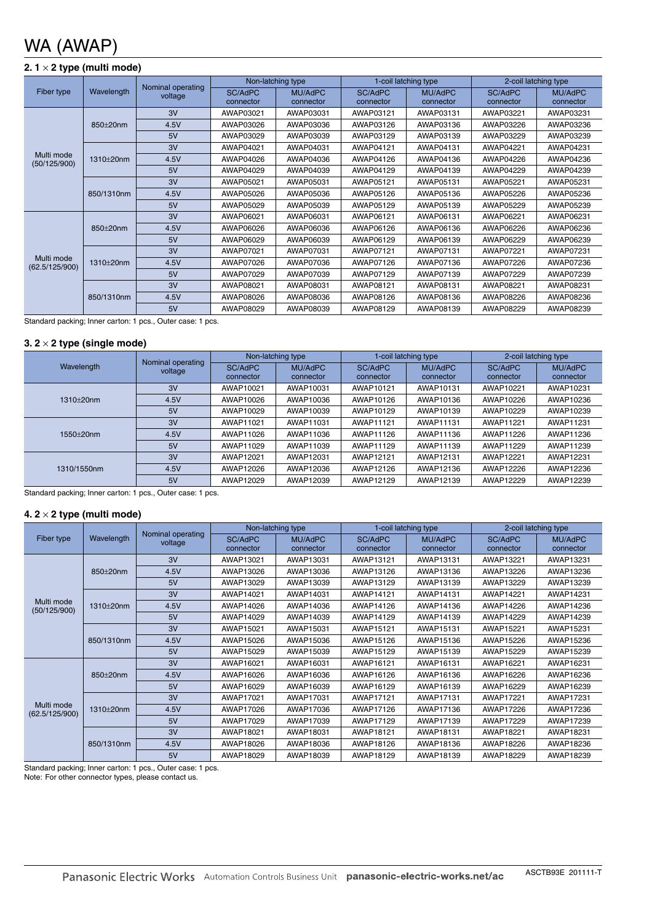# WA (AWAP)

### **2. 1** × **2 type (multi mode)**

|                                                       |            | Nominal operating |                      | Non-latching type    | 1-coil latching type |                      | 2-coil latching type |                      |
|-------------------------------------------------------|------------|-------------------|----------------------|----------------------|----------------------|----------------------|----------------------|----------------------|
| Fiber type                                            | Wavelength | voltage           | SC/AdPC<br>connector | MU/AdPC<br>connector | SC/AdPC<br>connector | MU/AdPC<br>connector | SC/AdPC<br>connector | MU/AdPC<br>connector |
|                                                       |            | 3V                | AWAP03021            | AWAP03031            | AWAP03121            | AWAP03131            | AWAP03221            | AWAP03231            |
|                                                       | 850±20nm   | 4.5V              | AWAP03026            | AWAP03036            | AWAP03126            | AWAP03136            | AWAP03226            | AWAP03236            |
|                                                       |            | 5V                | AWAP03029            | AWAP03039            | AWAP03129            | AWAP03139            | AWAP03229            | AWAP03239            |
|                                                       |            | 3V                | AWAP04021            | AWAP04031            | AWAP04121            | AWAP04131            | AWAP04221            | AWAP04231            |
| Multi mode<br>1310±20nm<br>(50/125/900)<br>850/1310nm |            | 4.5V              | AWAP04026            | AWAP04036            | AWAP04126            | AWAP04136            | AWAP04226            | AWAP04236            |
|                                                       |            | 5V                | AWAP04029            | AWAP04039            | AWAP04129            | AWAP04139            | AWAP04229            | AWAP04239            |
|                                                       |            | 3V                | AWAP05021            | AWAP05031            | AWAP05121            | AWAP05131            | AWAP05221            | AWAP05231            |
|                                                       |            | 4.5V              | AWAP05026            | AWAP05036            | AWAP05126            | AWAP05136            | AWAP05226            | AWAP05236            |
|                                                       |            | 5V                | AWAP05029            | AWAP05039            | AWAP05129            | AWAP05139            | AWAP05229            | AWAP05239            |
|                                                       |            | 3V                | AWAP06021            | AWAP06031            | AWAP06121            | AWAP06131            | AWAP06221            | AWAP06231            |
| 850±20nm                                              |            | 4.5V              | AWAP06026            | AWAP06036            | AWAP06126            | AWAP06136            | AWAP06226            | AWAP06236            |
|                                                       |            | 5V                | AWAP06029            | AWAP06039            | AWAP06129            | AWAP06139            | AWAP06229            | AWAP06239            |
|                                                       |            | 3V                | AWAP07021            | AWAP07031            | AWAP07121            | AWAP07131            | AWAP07221            | AWAP07231            |
| Multi mode<br>(62.5/125/900)                          | 1310±20nm  | 4.5V              | AWAP07026            | AWAP07036            | AWAP07126            | AWAP07136            | AWAP07226            | AWAP07236            |
|                                                       |            | 5V                | AWAP07029            | AWAP07039            | AWAP07129            | AWAP07139            | AWAP07229            | AWAP07239            |
|                                                       |            | 3V                | AWAP08021            | AWAP08031            | AWAP08121            | AWAP08131            | AWAP08221            | AWAP08231            |
|                                                       | 850/1310nm | 4.5V              | AWAP08026            | AWAP08036            | AWAP08126            | AWAP08136            | AWAP08226            | AWAP08236            |
|                                                       |            | 5V                | AWAP08029            | AWAP08039            | AWAP08129            | AWAP08139            | AWAP08229            | AWAP08239            |

Standard packing; Inner carton: 1 pcs., Outer case: 1 pcs.

#### **3. 2** × **2 type (single mode)**

| Wavelength   | Nominal operating<br>voltage | Non-latching type |           | 1-coil latching type |           | 2-coil latching type |           |
|--------------|------------------------------|-------------------|-----------|----------------------|-----------|----------------------|-----------|
|              |                              | SC/AdPC           | MU/AdPC   | SC/AdPC              | MU/AdPC   | SC/AdPC              | MU/AdPC   |
|              |                              | connector         | connector | connector            | connector | connector            | connector |
| $1310+20$ nm | 3V                           | AWAP10021         | AWAP10031 | AWAP10121            | AWAP10131 | AWAP10221            | AWAP10231 |
|              | 4.5V                         | AWAP10026         | AWAP10036 | AWAP10126            | AWAP10136 | AWAP10226            | AWAP10236 |
|              | 5V                           | AWAP10029         | AWAP10039 | AWAP10129            | AWAP10139 | AWAP10229            | AWAP10239 |
| 1550+20nm    | 3V                           | AWAP11021         | AWAP11031 | AWAP11121            | AWAP11131 | AWAP11221            | AWAP11231 |
|              | 4.5V                         | AWAP11026         | AWAP11036 | AWAP11126            | AWAP11136 | AWAP11226            | AWAP11236 |
|              | 5V                           | AWAP11029         | AWAP11039 | AWAP11129            | AWAP11139 | AWAP11229            | AWAP11239 |
| 1310/1550nm  | 3V                           | AWAP12021         | AWAP12031 | AWAP12121            | AWAP12131 | AWAP12221            | AWAP12231 |
|              | 4.5V                         | AWAP12026         | AWAP12036 | AWAP12126            | AWAP12136 | AWAP12226            | AWAP12236 |
|              | 5V                           | AWAP12029         | AWAP12039 | AWAP12129            | AWAP12139 | AWAP12229            | AWAP12239 |

Standard packing; Inner carton: 1 pcs., Outer case: 1 pcs.

#### **4. 2** × **2 type (multi mode)**

| Fiber type                   |            |                              | Non-latching type    |                      | 1-coil latching type |                             | 2-coil latching type |                      |
|------------------------------|------------|------------------------------|----------------------|----------------------|----------------------|-----------------------------|----------------------|----------------------|
|                              | Wavelength | Nominal operating<br>voltage | SC/AdPC<br>connector | MU/AdPC<br>connector | SC/AdPC<br>connector | <b>MU/AdPC</b><br>connector | SC/AdPC<br>connector | MU/AdPC<br>connector |
|                              |            | 3V                           | AWAP13021            | AWAP13031            | AWAP13121            | AWAP13131                   | AWAP13221            | AWAP13231            |
|                              | 850±20nm   | 4.5V                         | AWAP13026            | AWAP13036            | AWAP13126            | AWAP13136                   | AWAP13226            | AWAP13236            |
|                              |            | 5V                           | AWAP13029            | AWAP13039            | AWAP13129            | AWAP13139                   | AWAP13229            | AWAP13239            |
|                              |            | 3V                           | AWAP14021            | AWAP14031            | AWAP14121            | AWAP14131                   | AWAP14221            | AWAP14231            |
| Multi mode<br>(50/125/900)   | 1310±20nm  | 4.5V                         | AWAP14026            | AWAP14036            | AWAP14126            | AWAP14136                   | AWAP14226            | AWAP14236            |
|                              |            | 5V                           | AWAP14029            | AWAP14039            | AWAP14129            | AWAP14139                   | AWAP14229            | AWAP14239            |
|                              |            | 3V                           | AWAP15021            | AWAP15031            | AWAP15121            | AWAP15131                   | AWAP15221            | AWAP15231            |
|                              | 850/1310nm | 4.5V                         | AWAP15026            | AWAP15036            | AWAP15126            | AWAP15136                   | AWAP15226            | AWAP15236            |
|                              |            | 5V                           | AWAP15029            | AWAP15039            | AWAP15129            | AWAP15139                   | AWAP15229            | AWAP15239            |
|                              |            | 3V                           | AWAP16021            | AWAP16031            | AWAP16121            | AWAP16131                   | AWAP16221            | AWAP16231            |
|                              | 850±20nm   | 4.5V                         | AWAP16026            | AWAP16036            | AWAP16126            | AWAP16136                   | AWAP16226            | AWAP16236            |
|                              |            | 5V                           | AWAP16029            | AWAP16039            | AWAP16129            | AWAP16139                   | AWAP16229            | AWAP16239            |
|                              |            | 3V                           | AWAP17021            | AWAP17031            | AWAP17121            | AWAP17131                   | AWAP17221            | AWAP17231            |
| Multi mode<br>(62.5/125/900) | 1310±20nm  | 4.5V                         | AWAP17026            | AWAP17036            | AWAP17126            | AWAP17136                   | AWAP17226            | AWAP17236            |
|                              |            | 5V                           | AWAP17029            | AWAP17039            | AWAP17129            | AWAP17139                   | AWAP17229            | AWAP17239            |
|                              |            | 3V                           | AWAP18021            | AWAP18031            | AWAP18121            | AWAP18131                   | AWAP18221            | AWAP18231            |
|                              | 850/1310nm | 4.5V                         | AWAP18026            | AWAP18036            | AWAP18126            | AWAP18136                   | AWAP18226            | AWAP18236            |
|                              |            | 5V                           | AWAP18029            | AWAP18039            | AWAP18129            | AWAP18139                   | AWAP18229            | AWAP18239            |

Standard packing; Inner carton: 1 pcs., Outer case: 1 pcs.

Note: For other connector types, please contact us.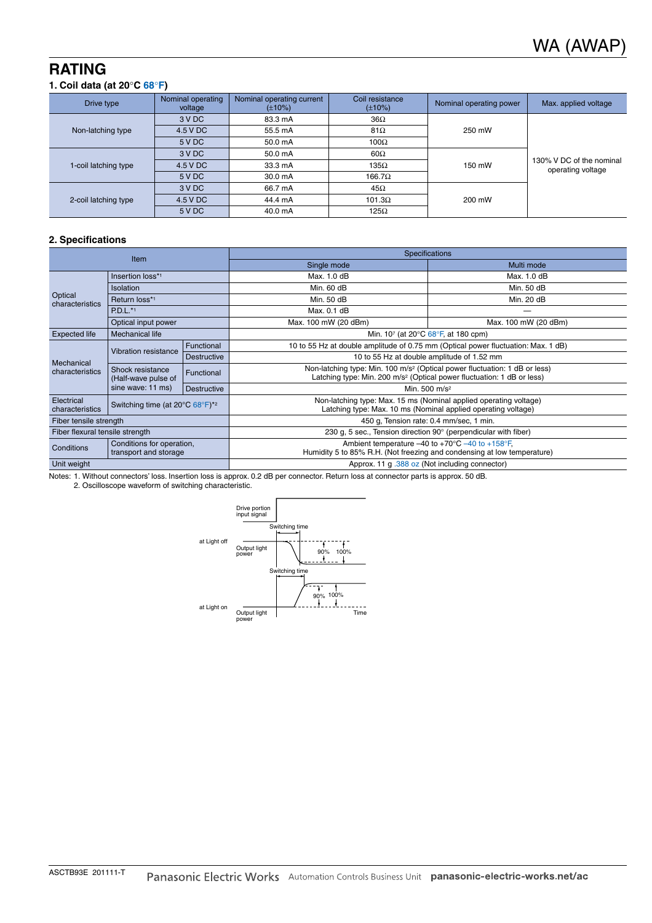# **RATING**

#### **1. Coil data (at 20**°**C 68**°**F)**

| Drive type           | Nominal operating<br>voltage | Nominal operating current<br>$(\pm 10\%)$ | Coil resistance<br>$(\pm 10\%)$ | Nominal operating power | Max. applied voltage                          |
|----------------------|------------------------------|-------------------------------------------|---------------------------------|-------------------------|-----------------------------------------------|
|                      | 3 V DC                       | 83.3 mA                                   | $36\Omega$                      |                         |                                               |
| Non-latching type    | 4.5 V DC                     | 55.5 mA                                   | $81\Omega$                      | 250 mW                  | 130% V DC of the nominal<br>operating voltage |
|                      | 5 V DC                       | 50.0 mA                                   | $100\Omega$                     |                         |                                               |
| 1-coil latching type | 3 V DC                       | 50.0 mA                                   | $60\Omega$                      |                         |                                               |
|                      | 4.5 V DC                     | 33.3 mA                                   | $135\Omega$                     | 150 mW                  |                                               |
|                      | 5 V DC                       | 30.0 mA                                   | $166.7\Omega$                   |                         |                                               |
| 2-coil latching type | 3 V DC                       | 66.7 mA                                   | $45\Omega$                      |                         |                                               |
|                      | 4.5 V DC                     | 44.4 mA                                   | $101.3\Omega$                   | 200 mW                  |                                               |
|                      | 5 V DC                       | 40.0 mA                                   | $125\Omega$                     |                         |                                               |

#### **2. Specifications**

| <b>Item</b>                                                                                      |                                                              |                    | <b>Specifications</b>                                                                                                                                                        |                      |  |  |
|--------------------------------------------------------------------------------------------------|--------------------------------------------------------------|--------------------|------------------------------------------------------------------------------------------------------------------------------------------------------------------------------|----------------------|--|--|
|                                                                                                  |                                                              |                    | Single mode                                                                                                                                                                  | Multi mode           |  |  |
|                                                                                                  | Insertion loss*1                                             |                    | Max. 1.0 dB                                                                                                                                                                  | Max. 1.0 dB          |  |  |
|                                                                                                  | <b>Isolation</b>                                             |                    | Min. 60 dB                                                                                                                                                                   | Min. 50 dB           |  |  |
| Optical<br>characteristics                                                                       | Return loss*1                                                |                    | Min. 50 dB                                                                                                                                                                   | Min. 20 dB           |  |  |
| $P.D.L.**1$                                                                                      |                                                              |                    | Max. 0.1 dB                                                                                                                                                                  |                      |  |  |
| Optical input power                                                                              |                                                              |                    | Max. 100 mW (20 dBm)                                                                                                                                                         | Max. 100 mW (20 dBm) |  |  |
| <b>Expected life</b>                                                                             | Mechanical life                                              |                    | Min. 107 (at 20 $\degree$ C 68 $\degree$ F, at 180 cpm)                                                                                                                      |                      |  |  |
| Mechanical<br>characteristics                                                                    | Vibration resistance                                         | Functional         | 10 to 55 Hz at double amplitude of 0.75 mm (Optical power fluctuation: Max. 1 dB)                                                                                            |                      |  |  |
|                                                                                                  |                                                              | <b>Destructive</b> | 10 to 55 Hz at double amplitude of 1.52 mm                                                                                                                                   |                      |  |  |
|                                                                                                  | Shock resistance<br>(Half-wave pulse of<br>sine wave: 11 ms) | Functional         | Non-latching type: Min. 100 m/s <sup>2</sup> (Optical power fluctuation: 1 dB or less)<br>Latching type: Min. 200 m/s <sup>2</sup> (Optical power fluctuation: 1 dB or less) |                      |  |  |
|                                                                                                  |                                                              | <b>Destructive</b> | Min. 500 m/s <sup>2</sup>                                                                                                                                                    |                      |  |  |
| Electrical<br>Switching time (at $20^{\circ}$ C $68^{\circ}$ F) <sup>*2</sup><br>characteristics |                                                              |                    | Non-latching type: Max. 15 ms (Nominal applied operating voltage)<br>Latching type: Max. 10 ms (Nominal applied operating voltage)                                           |                      |  |  |
| Fiber tensile strength                                                                           |                                                              |                    | 450 g, Tension rate: 0.4 mm/sec, 1 min.                                                                                                                                      |                      |  |  |
| Fiber flexural tensile strength                                                                  |                                                              |                    | 230 g, 5 sec., Tension direction $90^\circ$ (perpendicular with fiber)                                                                                                       |                      |  |  |
| Conditions for operation,<br>Conditions<br>transport and storage                                 |                                                              |                    | Ambient temperature $-40$ to $+70^{\circ}$ C $-40$ to $+158^{\circ}$ F,<br>Humidity 5 to 85% R.H. (Not freezing and condensing at low temperature)                           |                      |  |  |
| Unit weight                                                                                      |                                                              |                    | Approx. 11 g .388 oz (Not including connector)                                                                                                                               |                      |  |  |

Notes: 1. Without connectors' loss. Insertion loss is approx. 0.2 dB per connector. Return loss at connector parts is approx. 50 dB.

2. Oscilloscope waveform of switching characteristic.

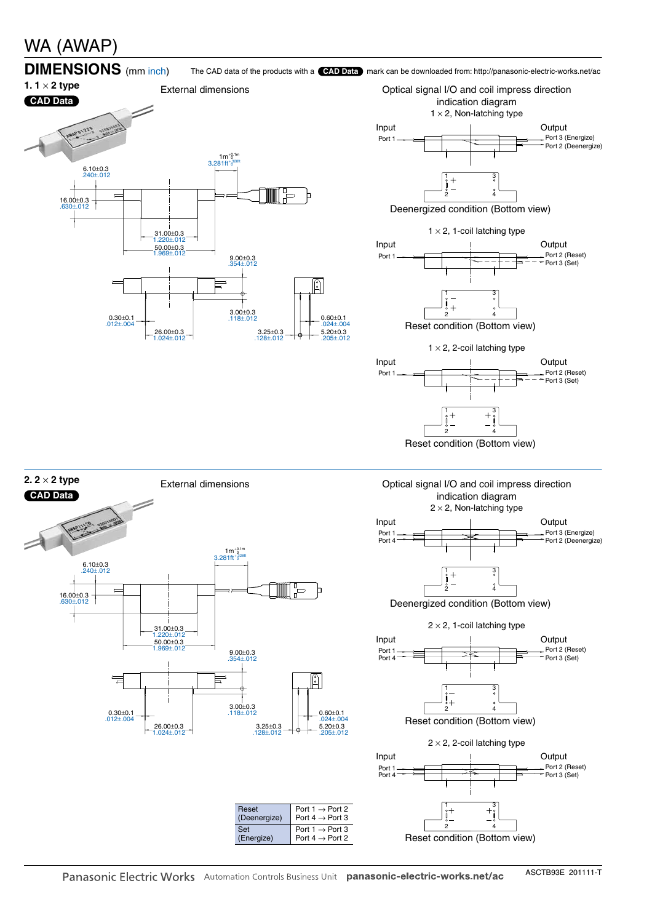# WA (AWAP)





 $\lambda$ 31 Port 2 (Deenergize) Port 1 Port 3 (Energize) Input | Output Port

Deenergized condition (Bottom view)

2

 $2 \times 2$ , 1-coil latching type



Reset condition (Bottom view)





Port  $1 \rightarrow$  Port 2 Port 4  $\rightarrow$  Port 3

Port 1  $\rightarrow$  Port 3 Port  $4 \rightarrow$  Port 2

Reset (Deenergize)

Set (Energize)